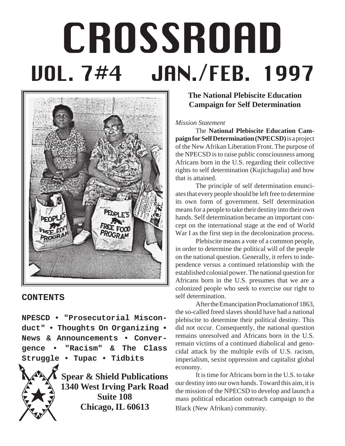# ${\color{red}\mathsf{CROSSROP}}$ VOL. 7#4 JAN./FEB. 1997



**CONTENTS**



**Spear & Shield Publications 1340 West Irving Park Road Suite 108 Chicago, IL 60613**

## **The National Plebiscite Education Campaign for Self Determination**

#### *Mission Statement*

The **National Plebiscite Education Campaign for Self Determination (NPECSD)** is a project of the New Afrikan Liberation Front. The purpose of the NPECSD is to raise public consciousness among Africans born in the U.S. regarding their collective rights to self determination (Kujichagulia) and how that is attained.

The principle of self determination enunciates that every people should be left free to determine its own form of government. Self determination means for a people to take their destiny into their own hands. Self determination became an important concept on the international stage at the end of World War I as the first step in the decolonization process.

Plebiscite means a vote of a common people, in order to determine the political will of the people on the national question. Generally, it refers to independence versus a continued relationship with the established colonial power. The national question for Africans born in the U.S. presumes that we are a colonized people who seek to exercise our right to self determination.

After the Emancipation Proclamation of 1863, the so-called freed slaves should have had a national plebiscite to determine their political destiny. This did not occur. Consequently, the national question remains unresolved and Africans born in the U.S. remain victims of a continued diabolical and genocidal attack by the multiple evils of U.S. racism, imperialism, sexist oppression and capitalist global economy.

It is time for Africans born in the U.S. to take our destiny into our own hands. Toward this aim, it is the mission of the NPECSD to develop and launch a mass political education outreach campaign to the Black (New Afrikan) community.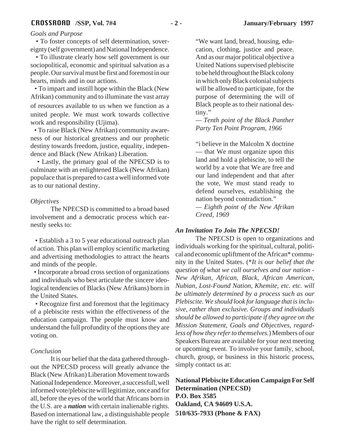#### CROSSROAD **/SSP, Vol. 7#4 - 2 - January/February 1997**

#### *Goals and Purpose*

 • To foster concepts of self determination, sovereignty (self government) and National Independence.

 • To illustrate clearly how self government is our sociopolitical, economic and spiritual salvation as a people. Our survival must be first and foremost in our hearts, minds and in our actions.

 • To impart and instill hope within the Black (New Afrikan) community and to illuminate the vast array of resources available to us when we function as a united people. We must work towards collective work and responsibility (Ujima).

 • To raise Black (New Afrikan) community awareness of our historical greatness and our prophetic destiny towards freedom, justice, equality, independence and Black (New Afrikan) Liberation.

 • Lastly, the primary goal of the NPECSD is to culminate with an enlightened Black (New Afrikan) populace that is prepared to cast a well informed vote as to our national destiny.

#### *Objectives*

The NPECSD is committed to a broad based involvement and a democratic process which earnestly seeks to:

 • Establish a 3 to 5 year educational outreach plan of action. This plan will employ scientific marketing and advertising methodologies to attract the hearts and minds of the people.

 • Incorporate a broad cross section of organizations and individuals who best articulate the sincere ideological tendencies of Blacks (New Afrikans) born in the United States.

 • Recognize first and foremost that the legitimacy of a plebiscite rests within the effectiveness of the education campaign. The people must know and understand the full profundity of the options they are voting on.

#### *Conclusion*

It is our belief that the data gathered throughout the NPECSD process will greatly advance the Black (New Afrikan) Liberation Movement towards National Independence. Moreover, a successfull, well informed vote/plebiscite will legitimize, once and for all, before the eyes of the world that Africans born in the U.S. are a *nation* with certain inalienable rights. Based on international law, a distinguishable people have the right to self determination.

"We want land, bread, housing, education, clothing, justice and peace. And as our major political objective a United Nations supervised plebiscite to be held throughout the Black colony in which only Black colonial subjects will be allowed to participate, for the purpose of determining the will of Black people as to their national destiny."

*— Tenth point of the Black Panther Party Ten Point Program, 1966*

"i believe in the Malcolm X doctrine — that We must organize upon this land and hold a plebiscite, to tell the world by a vote that We are free and our land independent and that after the vote, We must stand ready to defend ourselves, establishing the nation beyond contradiction."

*— Eighth point of the New Afrikan Creed, 1969*

#### *An Invitation To Join The NPECSD!*

The NPECSD is open to organizations and individuals working for the spiritual, cultural, political and economic upliftment of the African\* community in the United States. (\**It is our belief that the question of what we call ourselves and our nation - New Afrikan, African, Black, African American, Nubian, Lost-Found Nation, Khemite, etc. etc. will be ultimately determined by a process such as our Plebiscite. We should look for language that is inclusive, rather than exclusive. Groups and individuals should be allowed to participate if they agree on the Mission Statement, Goals and Objectives, regardless of how they refer to themselves.*) Members of our Speakers Bureau are available for your next meeting or upcoming event. To involve your family, school, church, group, or business in this historic process, simply contact us at:

**National Plebiscite Education Campaign For Self Determination (NPECSD) P.O. Box 3585 Oakland, CA 94609 U.S.A. 510/635-7933 (Phone & FAX)**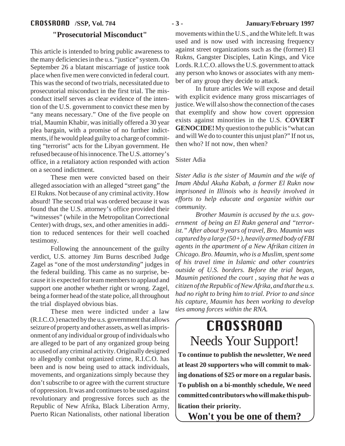#### **"Prosecutorial Misconduct"**

This article is intended to bring public awareness to the many deficiencies in the u.s. "justice" system. On September 26 a blatant miscarriage of justice took place when five men were convicted in federal court. This was the second of two trials, necessitated due to prosecutorial misconduct in the first trial. The misconduct itself serves as clear evidence of the intention of the U.S. government to convict these men by "any means necessary." One of the five people on trial, Maumin Khabir, was initially offered a 30 year plea bargain, with a promise of no further indictments, if he would plead guilty to a charge of committing "terrorist" acts for the Libyan government. He refused because of his innocence. The U.S. attorney's office, in a retaliatory action responded with action on a second indictment.

These men were convicted based on their alleged association with an alleged "street gang" the El Rukns. Not because of any criminal activity. How absurd! The second trial was ordered because it was found that the U.S. attorney's office provided their "witnesses" (while in the Metropolitan Correctional Center) with drugs, sex, and other amenities in addition to reduced sentences for their well coached testimony.

Following the announcement of the guilty verdict, U.S. attorney Jim Burns described Judge Zagel as "one of the most *understanding*" judges in the federal building. This came as no surprise, because it is expected for team members to applaud and support one another whether right or wrong. Zagel, being a former head of the state police, all throughout the trial displayed obvious bias.

These men were indicted under a law (R.I.C.O.) enacted by the u.s. government that allows seizure of property and other assets, as well as imprisonment of any individual or group of individuals who are alleged to be part of any organized group being accused of any criminal activity. Originally designed to allegedly combat organized crime, R.I.C.O. has been and is now being used to attack individuals, movements, and organizations simply because they don't subscribe to or agree with the current structure of oppression. It was and continues to be used against revolutionary and progressive forces such as the Republic of New Afrika, Black Liberation Army, Puerto Rican Nationalists, other national liberation

movements within the U.S., and the White left. It was used and is now used with increasing frequency against street organizations such as the (former) El Rukns, Gangster Disciples, Latin Kings, and Vice Lords. R.I.C.O. allows the U.S. government to attack any person who knows or associates with any member of any group they decide to attack.

In future articles We will expose and detail with explicit evidence many gross miscarriages of justice. We will also show the connection of the cases that exemplify and show how covert oppression exists against minorities in the U.S. **COVERT GENOCIDE!** My question to the public is "what can and will We do to counter this unjust plan?" If not us, then who? If not now, then when?

#### Sister Adia

*Sister Adia is the sister of Maumin and the wife of Imam Abdul Akuha Kabah, a former El Rukn now imprisoned in Illinois who is heavily involved in efforts to help educate and organize within our community.*

*Brother Maumin is accused by the u.s. government of being an El Rukn general and "terrorist." After about 9 years of travel, Bro. Maumin was captured by a large (50+), heavily armed body of FBI agents in the apartment of a New Afrikan citizen in Chicago. Bro. Maumin, who is a Muslim, spent some of his travel time in Islamic and other countries outside of U.S. borders. Before the trial began, Maumin petitioned the court , saying that he was a citizen of the Republic of New Afrika, and that the u.s. had no right to bring him to trial. Prior to and since his capture, Maumin has been working to develop ties among forces within the RNA.*

## **CROSSROAD** Needs Your Support!

**To continue to publish the newsletter, We need at least 20 supporters who will commit to making donations of \$25 or more on a regular basis. To publish on a bi-monthly schedule, We need committed contributors who will make this publication their priority.**

**Won't you be one of them?**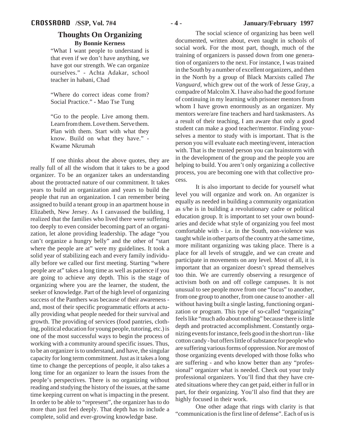## **Thoughts On Organizing**

**By Bonnie Kerness**

"What I want people to understand is that even if we don't have anything, we have got our strength. We can organize ourselves." - Achta Adakar, school teacher in habani, Chad

"Where do correct ideas come from? Social Practice." - Mao Tse Tung

"Go to the people. Live among them. Learn from them. Love them. Serve them. Plan with them. Start with what they know. Build on what they have." - Kwame Nkrumah

If one thinks about the above quotes, they are really full of all the wisdom that it takes to be a good organizer. To be an organizer takes an understanding about the protracted nature of our commitment. It takes years to build an organization and years to build the people that run an organization. I can remember being assigned to build a tenant group in an apartment house in Elizabeth, New Jersey. As I canvassed the building, I realized that the families who lived there were suffering too deeply to even consider becoming part of an organization, let alone providing leadership. The adage "you can't organize a hungry belly" and the other of "start where the people are at" were my guidelines. It took a solid year of stabilizing each and every family individually before we called our first meeting. Starting "where people are at" takes a long time as well as patience if you are going to achieve any depth. This is the stage of organizing where you are the learner, the student, the seeker of knowledge. Part of the high level of organizing success of the Panthers was because of their awareness and, most of their specific programmatic efforts at actually providing what people needed for their survival and growth. The providing of services (food pantries, clothing, political education for young people, tutoring, etc.) is one of the most successful ways to begin the process of working with a community around specific issues. Thus, to be an organizer is to understand, and have, the singular capacity for long term commitment. Just as it takes a long time to change the perceptions of people, it also takes a long time for an organizer to learn the issues from the people's perspectives. There is no organizing without reading and studying the history of the issues, at the same time keeping current on what is impacting in the present. In order to be able to "represent", the organizer has to do more than just feel deeply. That depth has to include a complete, solid and ever-growing knowledge base.

The social science of organizing has been well documented, written about, even taught in schools of social work. For the most part, though, much of the training of organizers is passed down from one generation of organizers to the next. For instance, I was trained in the South by a number of excellent organizers, and then in the North by a group of Black Marxists called *The Vanguard*, which grew out of the work of Jesse Gray, a compadre of Malcolm X. I have also had the good fortune of continuing in my learning with prisoner mentors from whom I have grown enormously as an organizer. My mentors were/are fine teachers and hard taskmasters. As a result of their teaching, I am aware that only a good student can make a good teacher/mentor. Finding yourselves a mentor to study with is important. That is the person you will evaluate each meeting/event, interaction with. That is the trusted person you can brainstorm with in the development of the group and the people you are helping to build. You aren't only organizing a collective process, you are becoming one with that collective process.

It is also important to decide for yourself what level you will organize and work on. An organizer is equally as needed in building a community organization as s/he is in building a revolutionary cadre or political education group. It is important to set your own boundaries and decide what style of organizing you feel most comfortable with - i.e. in the South, non-violence was taught while in other parts of the country at the same time, more militant organizing was taking place. There is a place for all levels of struggle, and we can create and participate in movements on any level. Most of all, it is important that an organizer doesn't spread themselves too thin. We are currently observing a resurgence of activism both on and off college campuses. It is not unusual to see people move from one "focus" to another, from one group to another, from one cause to another - all without having built a single lasting, functioning organization or program. This type of so-called "organizing" feels like "much ado about nothing" because there is little depth and protracted accomplishment. Constantly organizing events for instance, feels good in the short run - like cotton candy - but offers little of substance for people who are suffering various forms of oppression. Nor are most of those organizing events developed with those folks who are suffering - and who know better than any "professional" organizer what is needed. Check out your truly professional organizers. You'll find that they have created situations where they can get paid, either in full or in part, for their organizing. You'll also find that they are highly focused in their work.

One other adage that rings with clarity is that "communication is the first line of defense". Each of us is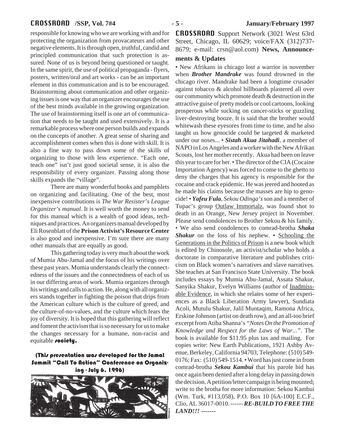#### CROSSROAD /SSP, Vol. 7#4 - 5 - January/February 1997

responsible for knowing who we are working with and for protecting the organization from provacateurs and other negative elements. It is through open, truthful, candid and principled communication that such protection is assured. None of us is beyond being questioned or taught. In the same spirit, the use of political propaganda - flyers, posters, written/oral and art works - can be an important element in this communication and is to be encouraged. Brainstorming about communication and other organizing issues is one way that an organizer encourages the use of the best minds available in the growing organization. The use of brainstorming itself is one art of communication that needs to be taught and used extensively. It is a remarkable process where one person builds and expands on the concepts of another. A great sense of sharing and accomplishment comes when this is done with skill. It is also a fine way to pass down some of the skills of organizing to those with less experience. "Each one, teach one" isn't just good societal sense, it is also the responsibility of every organizer. Passing along those skills expands the "village".

There are many wonderful books and pamphlets on organizing and facilitating. One of the best, most inexpensive contributions is *The War Resister's League Organizer's manual*. It is well worth the money to send for this manual which is a wealth of good ideas, techniques and practices. An organizers manual developed by Eli Rosenblatt of the **Prison Activist's Resource Center** is also good and inexpensive. I'm sure there are many other manuals that are equally as good.

This gathering today is very much about the work of Mumia Abu-Jamal and the focus of his writings over these past years. Mumia understands clearly the connectedness of the issues and the connectedness of each of us in our differing areas of work. Mumia organizes through his writings and calls to action. He, along with all organizers stands together in fighting the poison that drips from the American culture which is the culture of greed, and the culture-of-no-values, and the culture which fears the joy of diversity. It is hoped that this gathering will reflect and foment the activism that is so necessary for us to make the changes necessary for a humane, non-racist and equitable *society*.

#### (This presentation was developed for the Jamal Summit "Call To Action" Conference on Organizing - July 6, 1996)



### CROSSROAD Support Network (3021 West 63rd Street, Chicago, IL 60629; voice/FAX (312)737- 8679; e-mail: crsn@aol.com) **News, Announce-**

#### **ments & Updates**

• New Afrikans in chicago lost a warrior in november when *Brother Mandrake* was found drowned in the chicago river. Mandrake had been a longtime crusader against tobacco & alcohol billboards plastered all over our community which promote death & destruction in the attractive guise of pretty models or cool cartoons, looking prosperous while sucking on cancer-sticks or guzzling liver-destroying booze. It is said that the brother would whitewash these eyesores from time to time, and he also taught us how genocide could be targeted & marketed under our noses... • *Sistah Akua Jitahadi*, a member of NAPO in Los Angeles and a worker with the New Afrikan Scouts, lost her mother recently. Akua had been on leave this year to care for her. • The director of the CIA (Cocaine Importation Agency) was forced to come to the ghetto to deny the charges that his agency is responsible for the cocaine and crack epidemic. He was jeered and hooted as he made his claims because the masses are hip to genocide! • *Yafeu Fula*, *Sekou Odinga's* son and a member of Tupac's group Outlaw Immortalz, was found shot to death in an Orange, New Jersey project in November. Please send condolences to Brother Sekou & his family. • We also send condolences to comrad-brotha *Shaka* **Shakur** on the loss of his nephew. • Schooling the Generations in the Politics of Prison is a new book which is edited by Chinosole, an activist/scholar who holds a doctorate in comparative literature and publishes criticism on Black women's narratives and slave narratives. She teaches at San Francisco State University. The book includes essays by Mumia Abu-Jamal, Assata Shakur, Sanyika Shakur, Evelyn Williams (author of Inadmissable Evidence, in which she relates some of her experiences as a Black Liberation Army lawyer), Sundiata Acoli, Mutulu Shakur, Jalil Muntaqim, Ramona Africa, Erskine Johnson (artist on death row), and an all-too brief excerpt from Atiba Shanna's *"Notes On the Promotion of Knowledge and Respect for the Laws of War..."*. The book is available for \$11.95 plus tax and mailing. For copies write: New Earth Publications, 1921 Ashby Avenue, Berkeley, California 94703; Telephone: (510) 549- 0176; Fax: (510) 549-1514. • Word has just come in from comrad-brotha *Sekou Kambui* that his parole bid has once again been denied after a long delay in passing down the decision. A petition/letter campaign is being mounted; write to the brotha for more information: Sekou Kambui (Wm. Turk, #113,058), P.O. Box 10 [6A-100] E.C.F., Clio, AL 36017-0010. ------ *RE-BUILD TO FREE THE LAND!!! -------*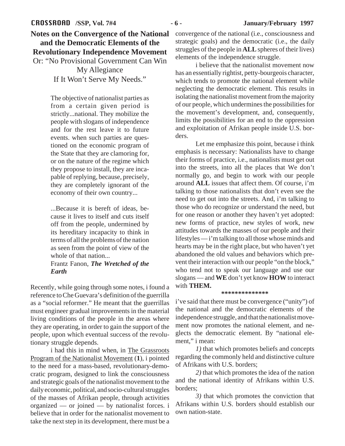## **Notes on the Convergence of the National and the Democratic Elements of the Revolutionary Independence Movement** Or: "No Provisional Government Can Win My Allegiance

If It Won't Serve My Needs."

The objective of nationalist parties as from a certain given period is strictly...national. They mobilize the people with slogans of independence and for the rest leave it to future events. when such parties are questioned on the economic program of the State that they are clamoring for, or on the nature of the regime which they propose to install, they are incapable of replying, because, precisely, they are completely ignorant of the economy of their own country...

...Because it is bereft of ideas, because it lives to itself and cuts itself off from the people, undermined by its hereditary incapacity to think in terms of all the problems of the nation as seen from the point of view of the whole of that nation...

#### Frantz Fanon, *The Wretched of the Earth*

Recently, while going through some notes, i found a reference to Che Guevara's definition of the guerrilla as a "social reformer." He meant that the guerrillas must engineer gradual improvements in the material living conditions of the people in the areas where they are operating, in order to gain the support of the people, upon which eventual success of the revolutionary struggle depends.

i had this in mind when, in The Grassroots Program of the Nationalist Movement (**1**), i pointed to the need for a mass-based, revolutionary-democratic program, designed to link the consciousness and strategic goals of the nationalist movement to the daily economic, political, and socio-cultural struggles of the masses of Afrikan people, through activities organized — or joined — by nationalist forces. i believe that in order for the nationalist movement to take the next step in its development, there must be a convergence of the national (i.e., consciousness and strategic goals) and the democratic (i.e., the daily struggles of the people in **ALL** spheres of their lives) elements of the independence struggle.

i believe that the nationalist movement now has an essentially rightist, petty-bourgeois character, which tends to promote the national element while neglecting the democratic element. This results in isolating the nationalist movement from the majority of our people, which undermines the possibilities for the movement's development, and, consequently, limits the possibilities for an end to the oppression and exploitation of Afrikan people inside U.S. borders.

Let me emphasize this point, because i think emphasis is necessary: Nationalists have to change their forms of practice, i.e., nationalists must get out into the streets, into all the places that We don't normally go, and begin to work with our people around **ALL** issues that affect them. Of course, i'm talking to those nationalists that don't even see the need to get out into the streets. And, i'm talking to those who do recognize or understand the need, but for one reason or another they haven't yet adopted: new forms of practice, new styles of work, new attitudes towards the masses of our people and their lifestyles — i'm talking to all those whose minds and hearts may be in the right place, but who haven't yet abandoned the old values and behaviors which prevent their interaction with our people "on the block," who tend not to speak our language and use our slogans — and **WE** don't yet know **HOW** to interact with **THEM.**

#### **\*\*\*\*\*\*\*\*\*\*\*\*\*\***

i've said that there must be convergence ("unity") of the national and the democratic elements of the independence struggle, and that the nationalist movement now promotes the national element, and neglects the democratic element. By "national element," i mean:

*1)* that which promotes beliefs and concepts regarding the commonly held and distinctive culture of Afrikans with U.S. borders;

*2)* that which promotes the idea of the nation and the national identity of Afrikans within U.S. borders;

*3)* that which promotes the conviction that Afrikans within U.S. borders should establish our own nation-state.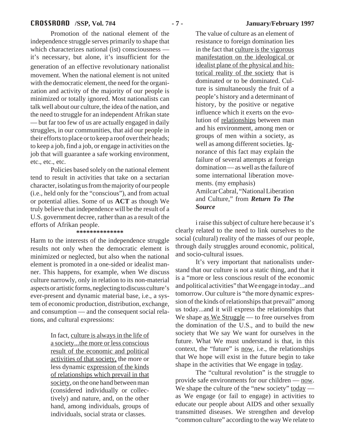#### CROSSROAD /SSP, Vol. 7#4 - 7 - January/February 1997

Promotion of the national element of the independence struggle serves primarily to shape that which characterizes national (ist) consciousness it's necessary, but alone, it's insufficient for the generation of an effective revolutionary nationalist movement. When the national element is not united with the democratic element, the need for the organization and activity of the majority of our people is minimized or totally ignored. Most nationalists can talk well about our culture, the idea of the nation, and the need to struggle for an independent Afrikan state — but far too few of us are actually engaged in daily struggles, in our communities, that aid our people in their efforts to place or to keep a roof over their heads; to keep a job, find a job, or engage in activities on the job that will guarantee a safe working environment, etc., etc., etc.

Policies based solely on the national element tend to result in activities that take on a sectarian character, isolating us from the majority of our people (i.e., held only for the "conscious"), and from actual or potential allies. Some of us **ACT** as though We truly believe that independence will be the result of a U.S. government decree, rather than as a result of the efforts of Afrikan people.

#### **\*\*\*\*\*\*\*\*\*\*\*\*\*\***

Harm to the interests of the independence struggle results not only when the democratic element is minimized or neglected, but also when the national element is promoted in a one-sided or idealist manner. This happens, for example, when We discuss culture narrowly, only in relation to its non-material aspects or artistic forms, neglecting to discuss culture's ever-present and dynamic material base, i.e., a system of economic production, distribution, exchange, and consumption — and the consequent social relations, and cultural expressions:

> In fact, culture is always in the life of a society...the more or less conscious result of the economic and political activities of that society, the more or less dynamic expression of the kinds of relationships which prevail in that society, on the one hand between man (considered individually or collectively) and nature, and, on the other hand, among individuals, groups of individuals, social strata or classes.

The value of culture as an element of resistance to foreign domination lies in the fact that culture is the vigorous manifestation on the ideological or idealist plane of the physical and historical reality of the society that is dominated or to be dominated. Culture is simultaneously the fruit of a people's history and a determinant of history, by the positive or negative influence which it exerts on the evolution of relationships between man and his environment, among men or groups of men within a society, as well as among different societies. Ignorance of this fact may explain the failure of several attempts at foreign domination — as well as the failure of some international liberation movements. (my emphasis) Amilcar Cabral, "National Liberation and Culture," from *Return To The Source*

i raise this subject of culture here because it's clearly related to the need to link ourselves to the social (cultural) reality of the masses of our people, through daily struggles around economic, political, and socio-cultural issues.

It's very important that nationalists understand that our culture is not a static thing, and that it is a "more or less conscious result of the economic and political activities" that We engage in today...and tomorrow. Our culture is "the more dynamic expression of the kinds of relationships that prevail" among us today...and it will express the relationships that We shape as We Struggle — to free ourselves from the domination of the U.S., and to build the new society that We say We want for ourselves in the future. What We must understand is that, in this context, the "future" is now, i.e., the relationships that We hope will exist in the future begin to take shape in the activities that We engage in today.

The "cultural revolution" is the struggle to provide safe environments for our children — now. We shape the culture of the "new society" today as We engage (or fail to engage) in activities to educate our people about AIDS and other sexually transmitted diseases. We strengthen and develop "common culture" according to the way We relate to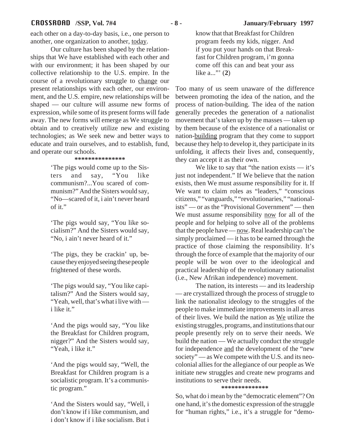each other on a day-to-day basis, i.e., one person to another, one organization to another, today.

Our culture has been shaped by the relationships that We have established with each other and with our environment; it has been shaped by our collective relationship to the U.S. empire. In the course of a revolutionary struggle to change our present relationships with each other, our environment, and the U.S. empire, new relationships will be shaped — our culture will assume new forms of expression, while some of its present forms will fade away. The new forms will emerge as We struggle to obtain and to creatively utilize new and existing technologies; as We seek new and better ways to educate and train ourselves, and to establish, fund, and operate our schools.

#### **\*\*\*\*\*\*\*\*\*\*\*\*\*\*\***

'The pigs would come up to the Sisters and say, "You like communism?...You scared of communism?" And the Sisters would say, "No—scared of it, i ain't never heard of it."

'The pigs would say, "You like socialism?" And the Sisters would say, "No, i ain't never heard of it."

'The pigs, they be crackin' up, because they enjoyed seeing these people frightened of these words.

'The pigs would say, "You like capitalism?" And the Sisters would say, "Yeah, well, that's what i live with i like it."

'And the pigs would say, "You like the Breakfast for Children program, nigger?" And the Sisters would say, "Yeah, i like it."

'And the pigs would say, "Well, the Breakfast for Children program is a socialistic program. It's a communistic program."

'And the Sisters would say, "Well, i don't know if i like communism, and i don't know if i like socialism. But i know that that Breakfast for Children program feeds my kids, nigger. And if you put your hands on that Breakfast for Children program, i'm gonna come off this can and beat your ass like a..."' (**2**)

Too many of us seem unaware of the difference between promoting the idea of the nation, and the process of nation-building. The idea of the nation generally precedes the generation of a nationalist movement that's taken up by the masses — taken up by them because of the existence of a nationalist or nation-building program that they come to support because they help to develop it, they participate in its unfolding, it affects their lives and, consequently, they can accept it as their own.

We like to say that "the nation exists  $-$  it's just not independent." If We believe that the nation exists, then We must assume responsibility for it. If We want to claim roles as "leaders," "conscious citizens," "vanguards," "revolutionaries," "nationalists" — or as the "Provisional Government" — then We must assume responsibility now for all of the people and for helping to solve all of the problems that the people have — now. Real leadership can't be simply proclaimed — it has to be earned through the practice of those claiming the responsibility. It's through the force of example that the majority of our people will be won over to the ideological and practical leadership of the revolutionary nationalist (i.e., New Afrikan independence) movement.

The nation, its interests — and its leadership — are crystallized through the process of struggle to link the nationalist ideology to the struggles of the people to make immediate improvements in all areas of their lives. We build the nation as We utilize the existing struggles, programs, and institutions that our people presently rely on to serve their needs. We build the nation — We actually conduct the struggle for independence and the development of the "new society" — as We compete with the U.S. and its neocolonial allies for the allegiance of our people as We initiate new struggles and create new programs and institutions to serve their needs.

#### **\*\*\*\*\*\*\*\*\*\*\*\*\*\***

So, what do i mean by the "democratic element"? On one hand, it's the domestic expression of the struggle for "human rights," i.e., it's a struggle for "demo-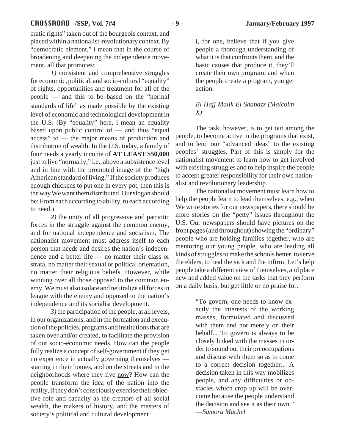#### CROSSROAD /SSP, Vol. 7#4 - 9 - 9 - January/February 1997

cratic rights" taken out of the bourgeois context, and placed within a nationalist-revolutionary context. By "democratic element," i mean that in the course of broadening and deepening the independence movement, all that promotes:

*1)* consistent and comprehensive struggles for economic, political, and socio-cultural "equality" of rights, opportunities and treatment for all of the people — and this to be based on the "normal standards of life" as made possible by the existing level of economic and technological development in the U.S. (By "equality" here, i mean an equality based upon public control of — and thus "equal access" to — the major means of production and distribution of wealth. In the U.S. today, a family of four needs a yearly income of **AT LEAST \$50,000** just to live "normally," i.e., above a subsistence level and in line with the promoted image of the "high American standard of living." If the society produces enough chickens to put one in every pot, then this is the way We want them distributed. Our slogan should be: From each according to ability, to each according to need.)

*2)* the unity of all progressive and patriotic forces in the struggle against the common enemy, and for national independence and socialism. The nationalist movement must address itself to each person that needs and desires the nation's independence and a better life — no matter their class or strata, no matter their sexual or political orientation, no matter their religious beliefs. However, while winning over all those opposed to the common enemy, We must also isolate and neutralize all forces in league with the enemy and opposed to the nation's independence and its socialist development.

*3)* the participation of the people, at all levels, in our organizations, and in the formation and execution of the policies, programs and institutions that are taken over and/or created, to facilitate the provision of our socio-economic needs. How can the people fully realize a concept of self-government if they get no experience in actually governing themselves starting in their homes, and on the streets and in the neighborhoods where they live now? How can the people transform the idea of the nation into the reality, if they don't consciously exercise their objective role and capacity as the creators of all social wealth, the makers of history, and the masters of society's political and cultural development?

i, for one, believe that if you give people a thorough understanding of what it is that confronts them, and the basic causes that produce it, they'll create their own program; and when the people create a program, you get action.

#### *El Hajj Malik El Shabazz (Malcolm X)*

The task, however, is to get out among the people, to become active in the programs that exist, and to lend our "advanced ideas" to the existing peoples' struggles. Part of this is simply for the nationalist movement to learn how to get involved with existing struggles and to help inspire the people to accept greater responsibility for their own nationalist and revolutionary leadership.

The nationalist movement must learn how to help the people learn to lead themselves, e.g., when We write stories for our newspapers, there should be more stories on the "petty" issues throughout the U.S. Our newspapers should have pictures on the front pages (and throughout) showing the "ordinary" people who are holding families together, who are mentoring our young people, who are leading all kinds of struggles to make the schools better, to serve the elders, to heal the sick and the infirm. Let's help people take a different view of themselves, and place new and added value on the tasks that they perform on a daily basis, but get little or no praise for.

> "To govern, one needs to know exactly the interests of the working masses, formulated and discussed with them and not merely on their behalf... To govern is always to be closely linked with the masses in order to sound out their preoccupations and discuss with them so as to come to a correct decision together... A decision taken in this way mobilizes people, and any difficulties or obstacles which crop up will be overcome because the people understand the decision and see it as their own." —*Samora Machel*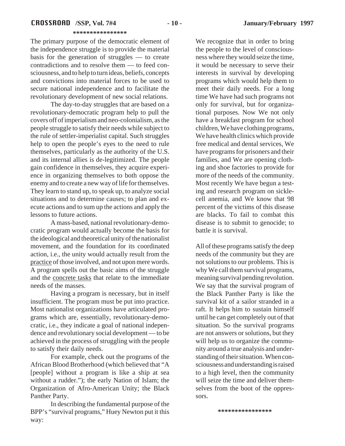#### **\*\*\*\*\*\*\*\*\*\*\*\*\*\*\*\***

The primary purpose of the democratic element of the independence struggle is to provide the material basis for the generation of struggles — to create contradictions and to resolve them — to feed consciousness, and to help to turn ideas, beliefs, concepts and convictions into material forces to be used to secure national independence and to facilitate the revolutionary development of new social relations.

The day-to-day struggles that are based on a revolutionary-democratic program help to pull the covers off of imperialism and neo-colonialism, as the people struggle to satisfy their needs while subject to the rule of settler-imperialist capital. Such struggles help to open the people's eyes to the need to rule themselves, particularly as the authority of the U.S. and its internal allies is de-legitimized. The people gain confidence in themselves, they acquire experience in organizing themselves to both oppose the enemy and to create a new way of life for themselves. They learn to stand up, to speak up, to analyze social situations and to determine causes; to plan and execute actions and to sum up the actions and apply the lessons to future actions.

A mass-based, national revolutionary-democratic program would actually become the basis for the ideological and theoretical unity of the nationalist movement, and the foundation for its coordinated action, i.e., the unity would actually result from the practice of those involved, and not upon mere words. A program spells out the basic aims of the struggle and the concrete tasks that relate to the immediate needs of the masses.

Having a program is necessary, but in itself insufficient. The program must be put into practice. Most nationalist organizations have articulated programs which are, essentially, revolutionary-democratic, i.e., they indicate a goal of national independence and revolutionary social development — to be achieved in the process of struggling with the people to satisfy their daily needs.

For example, check out the programs of the African Blood Brotherhood (which believed that "A [people] without a program is like a ship at sea without a rudder."); the early Nation of Islam; the Organization of Afro-American Unity; the Black Panther Party.

In describing the fundamental purpose of the BPP's "survival programs," Huey Newton put it this way:

We recognize that in order to bring the people to the level of consciousness where they would seize the time, it would be necessary to serve their interests in survival by developing programs which would help them to meet their daily needs. For a long time We have had such programs not only for survival, but for organizational purposes. Now We not only have a breakfast program for school children, We have clothing programs, We have health clinics which provide free medical and dental services, We have programs for prisoners and their families, and We are opening clothing and shoe factories to provide for more of the needs of the community. Most recently We have begun a testing and research program on sicklecell anemia, and We know that 98 percent of the victims of this disease are blacks. To fail to combat this disease is to submit to genocide; to battle it is survival.

All of these programs satisfy the deep needs of the community but they are not solutions to our problems. This is why We call them survival programs, meaning survival pending revolution. We say that the survival program of the Black Panther Party is like the survival kit of a sailor stranded in a raft. It helps him to sustain himself until he can get completely out of that situation. So the survival programs are not answers or solutions, but they will help us to organize the community around a true analysis and understanding of their situation. When consciousness and understanding is raised to a high level, then the community will seize the time and deliver themselves from the boot of the oppressors.

**\*\*\*\*\*\*\*\*\*\*\*\*\*\*\*\***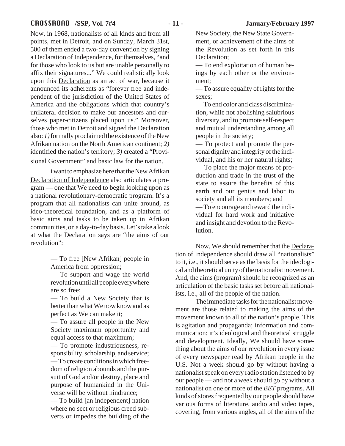#### CROSSROAD /SSP, Vol. 7#4  $-11$  - January/February 1997

Now, in 1968, nationalists of all kinds and from all points, met in Detroit, and on Sunday, March 31st, 500 of them ended a two-day convention by signing a Declaration of Independence, for themselves, "and for those who look to us but are unable personally to affix their signatures..." We could realistically look upon this Declaration as an act of war, because it announced its adherents as "forever free and independent of the jurisdiction of the United States of America and the obligations which that country's unilateral decision to make our ancestors and ourselves paper-citizens placed upon us." Moreover, those who met in Detroit and signed the Declaration also: *1)* formally proclaimed the existence of the New Afrikan nation on the North American continent; *2)* identified the nation's territory; *3)* created a "Provisional Government" and basic law for the nation.

i want to emphasize here that the New Afrikan Declaration of Independence also articulates a program — one that We need to begin looking upon as a national revolutionary-democratic program. It's a program that all nationalists can unite around, as ideo-theoretical foundation, and as a platform of basic aims and tasks to be taken up in Afrikan communities, on a day-to-day basis. Let's take a look at what the Declaration says are "the aims of our revolution":

> — To free [New Afrikan] people in America from oppression;

> — To support and wage the world revolution until all people everywhere are so free;

> — To build a New Society that is better than what We now know and as perfect as We can make it;

> — To assure all people in the New Society maximum opportunity and equal access to that maximum;

> — To promote industriousness, responsibility, scholarship, and service; — To create conditions in which freedom of religion abounds and the pursuit of God and/or destiny, place and purpose of humankind in the Universe will be without hindrance;

> — To build [an independent] nation where no sect or religious creed subverts or impedes the building of the

New Society, the New State Government, or achievement of the aims of the Revolution as set forth in this Declaration;

— To end exploitation of human beings by each other or the environment;

— To assure equality of rights for the sexes;

— To end color and class discrimination, while not abolishing salubrious diversity, and to promote self-respect and mutual understanding among all people in the society;

— To protect and promote the personal dignity and integrity of the individual, and his or her natural rights; — To place the major means of production and trade in the trust of the state to assure the benefits of this earth and our genius and labor to society and all its members; and — To encourage and reward the individual for hard work and initiative and insight and devotion to the Revolution.

Now, We should remember that the Declaration of Independence should draw all "nationalists" to it, i.e., it should serve as the basis for the ideological and theoretical unity of the nationalist movement. And, the aims (program) should be recognized as an articulation of the basic tasks set before all nationalists, i.e., all of the people of the nation.

The immediate tasks for the nationalist movement are those related to making the aims of the movement known to all of the nation's people. This is agitation and propaganda; information and communication; it's ideological and theoretical struggle and development. Ideally, We should have something about the aims of our revolution in every issue of every newspaper read by Afrikan people in the U.S. Not a week should go by without having a nationalist speak on every radio station listened to by our people — and not a week should go by without a nationalist on one or more of the *BET* programs. All kinds of stores frequented by our people should have various forms of literature, audio and video tapes, covering, from various angles, all of the aims of the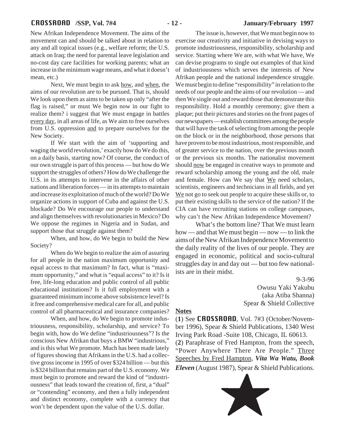#### **CROSSROAD** /SSP, Vol. 7#4  $-12$  - January/February 1997

New Afrikan Independence Movement. The aims of the movement can and should be talked about in relation to any and all topical issues (e.g., welfare reform; the U.S. attack on Iraq; the need for parental leave legislation and no-cost day care facilities for working parents; what an increase in the minimum wage means, and what it doesn't mean, etc.)

Next, We must begin to ask how, and when, the aims of our revolution are to be pursued. That is, should We look upon them as aims to be taken up only "after the flag is raised," or must We begin now in our fight to realize them? i suggest that We must engage in battles every day, in all areas of life, as We aim to free ourselves from U.S. oppression and to prepare ourselves for the New Society.

If We start with the aim of 'supporting and waging the world revolution,' exactly how do We do this, on a daily basis, starting now? Of course, the conduct of our own struggle is part of this process — but how do We support the struggles of others? How do We challenge the U.S. in its attempts to intervene in the affairs of other nations and liberation forces — in its attempts to maintain and increase its exploitation of much of the world? Do We organize actions in support of Cuba and against the U.S. blockade? Do We encourage our people to understand and align themselves with revolutionaries in Mexico? Do We oppose the regimes in Nigeria and in Sudan, and support those that struggle against them?

When, and how, do We begin to build the New Society?

When do We begin to realize the aim of assuring for all people in the nation maximum opportunity and equal access to that maximum? In fact, what is "maximum opportunity," and what is "equal access" to it? Is it free, life-long education and public control of all public educational institutions? Is it full employment with a guaranteed minimum income above subsistence level? Is it free and comprehensive medical care for all, and public control of all pharmaceutical and insurance companies?

When, and how, do We begin to promote industriousness, responsibility, scholarship, and service? To begin with, how do We define "industriousness"? Is the conscious New Afrikan that buys a BMW "industrious," and is this what We promote. Much has been made lately of figures showing that Afrikans in the U.S. had a collective gross income in 1995 of over \$324 billion — but this is \$324 billion that remains part of the U.S. economy. We must begin to promote and reward the kind of "industriousness" that leads toward the creation of, first, a "dual" or "contending" economy, and then a fully independent and distinct economy, complete with a currency that won't be dependent upon the value of the U.S. dollar.

The issue is, however, that We must begin now to exercise our creativity and initiative in devising ways to promote industriousness, responsibility, scholarship and service. Starting where We are, with what We have, We can devise programs to single out examples of that kind of industriousness which serves the interests of New Afrikan people and the national independence struggle. We must begin to define "responsibility" in relation to the needs of our people and the aims of our revolution — and then We single out and reward those that demonstrate this responsibility. Hold a monthly ceremony; give them a plaque; put their pictures and stories on the front pages of our newspapers — establish committees among the people that will have the task of selecting from among the people on the block or in the neighborhood, those persons that have proven to be most industrious, most responsible, and of greater service to the nation, over the previous month or the previous six months. The nationalist movement should now be engaged in creative ways to promote and reward scholarship among the young and the old, male and female. How can We say that We need scholars, scientists, engineers and technicians in all fields, and yet We not go to seek out people to acquire these skills or, to put their existing skills to the service of the nation? If the CIA can have recruiting stations on college campuses, why can't the New Afrikan Independence Movement?

What's the bottom line? That We must learn how — and that We must begin — now — to link the aims of the New Afrikan Independence Movement to the daily reality of the lives of our people. They are engaged in economic, political and socio-cultural struggles day in and day out — but too few nationalists are in their midst.

> 9-3-96 Owusu Yaki Yakubu (aka Atiba Shanna) Spear & Shield Collective

#### **Notes**

(**1**) See CROSSROAD, Vol. 7#3 (October/November 1996), Spear & Shield Publications, 1340 West Irving Park Road -Suite 108, Chicago, IL 60613. (**2**) Paraphrase of Fred Hampton, from the speech, "Power Anywhere There Are People." Three Speeches by Fred Hampton, *Vita Wa Watu, Book Eleven* (August 1987), Spear & Shield Publications.

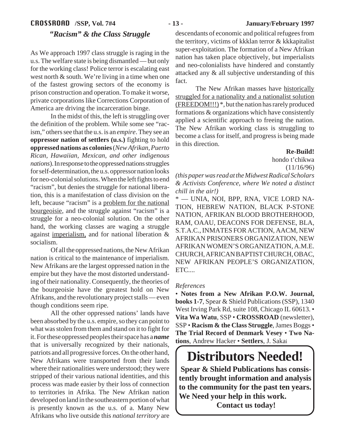### **CROSSROAD** /SSP, Vol. 7#4  $-13$  - 13 - January/February 1997 **"***Racism" & the Class Struggle*

As We approach 1997 class struggle is raging in the u.s. The welfare state is being dismantled — but only for the working class! Police terror is escalating east west north & south. We're living in a time when one of the fastest growing sectors of the economy is prison construction and operation. To make it worse, private corporations like Corrections Corporation of America are driving the incarceration binge.

In the midst of this, the left is struggling over the definition of the problem. While some see "racism," others see that the u.s. is an *empire*. They see an **oppressor nation of settlers (u.s.)** fighting to hold **oppressed nations as colonies** (*New Afrikan, Puerto Rican, Hawaiian, Mexican, and other indigenous nations*). In response to the oppressed nations struggles for self-determination, the u.s. oppressor nation looks for neo-colonial solutions. When the left fights to end "racism", but denies the struggle for national liberation, this is a manifestation of class division on the left, because "racism" is a problem for the national bourgeoisie, and the struggle against "racism" is a struggle for a neo-colonial solution. On the other hand, the working classes are waging a struggle against imperialism, and for national liberation & socialism.

Of all the oppressed nations, the New Afrikan nation is critical to the maintenance of imperialism. New Afrikans are the largest oppressed nation in the empire but they have the most distorted understanding of their nationality. Consequently, the theories of the bourgeoisie have the greatest hold on New Afrikans, and the revolutionary project stalls — even though conditions seem ripe.

All the other oppressed nations' lands have been absorbed by the u.s. empire, so they can point to what was stolen from them and stand on it to fight for it. For these oppressed peoples their space has a *name* that is universally recognized by their nationals, patriots and all progressive forces. On the other hand, New Afrikans were transported from their lands where their nationalities were understood; they were stripped of their various national identities, and this process was made easier by their loss of connection to territories in Afrika. The New Afrikan nation developed on land in the southeastern portion of what is presently known as the u.s. of a. Many New Afrikans who live outside this *national territory* are

descendants of economic and political refugees from the territory, victims of kkklan terror & kkkapitalist super-exploitation. The formation of a New Afrikan nation has taken place objectively, but imperialists and neo-colonialists have hindered and constantly

The New Afrikan masses have historically struggled for a nationality and a nationalist solution (FREEDOM!!!) \*, but the nation has rarely produced formations & organizations which have consistently applied a scientific approach to freeing the nation. The New Afrikan working class is struggling to become a class for itself, and progress is being made in this direction.

attacked any & all subjective understanding of this

#### **Re-Build!**

hondo t'chikwa (11/16/96)

*(this paper was read at the Midwest Radical Scholars & Activists Conference, where We noted a distinct chill in the air!)*

\* — UNIA, NOI, BPP, RNA, VICE LORD NA-TION, HEBREW NATION, BLACK P-STONE NATION, AFRIKAN BLOOD BROTHERHOOD, RAM, OAAU, DEACONS FOR DEFENSE, BLA, S.T.A.C., INMATES FOR ACTION, AACM, NEW AFRIKAN PRISONERS ORGANIZATION, NEW AFRIKAN WOMEN'S ORGANIZATION, A.M.E. CHURCH, AFRICAN BAPTIST CHURCH, OBAC, NEW AFRIKAN PEOPLE'S ORGANIZATION, ETC....

#### *References*

• **Notes from a New Afrikan P.O.W. Journal, books 1-7**, Spear & Shield Publications (SSP), 1340 West Irving Park Rd, suite 108, Chicago IL 60613. • **Vita Wa Watu**, SSP • **CROSSROAD** (newsletter), SSP • **Racism & the Class Struggle**, James Boggs • **The Trial Record of Denmark Vesey** • **Two Nations**, Andrew Hacker • **Settlers**, J. Sakai

# **Distributors Needed!**

 **Spear & Shield Publications has consistently brought information and analysis to the community for the past ten years. We Need your help in this work. Contact us today!**

fact.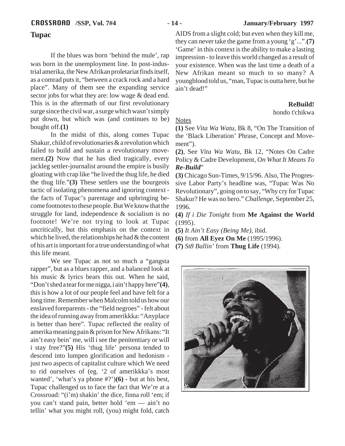#### **Tupac**

If the blues was born 'behind the mule', rap was born in the unemployment line. In post-industrial amerika, the New Afrikan proletariat finds itself, as a comrad puts it, "between a crack rock and a hard place". Many of them see the expanding service sector jobs for what they are: low wage & dead end. This is in the aftermath of our first revolutionary surge since the civil war, a surge which wasn't simply put down, but which was (and continues to be) bought off.**(1)**

In the midst of this, along comes Tupac Shakur, child of revolutionaries & a revolution which failed to build and sustain a revolutionary movement.**(2)** Now that he has died tragically, every jackleg settler-journalist around the empire is busily gloating with crap like "he lived the thug life, he died the thug life."**(3)** These settlers use the bourgeois tactic of isolating phenomena and ignoring context the facts of Tupac's parentage and upbringing become footnotes to these people. But We know that the struggle for land, independence & socialism is no footnote! We're not trying to look at Tupac uncritically, but this emphasis on the context in which he lived, the relationships he had  $&$  the content of his art is important for a true understanding of what this life meant.

We see Tupac as not so much a "gangsta rapper", but as a blues rapper, and a balanced look at his music & lyrics bears this out. When he said, "Don't shed a tear for me nigga, i ain't happy here"**(4)**, this is how a lot of our people feel and have felt for a long time. Remember when Malcolm told us how our enslaved foreparents - the "field negroes" - felt about the idea of running away from amerikkka: "Anyplace is better than here". Tupac reflected the reality of amerika meaning pain & prison for New Afrikans: "It ain't easy bein' me, will i see the penitentiary or will i stay free?"**(5)** His 'thug life' persona tended to descend into lumpen glorification and hedonism just two aspects of capitalist culture which We need to rid ourselves of (eg. '2 of amerikkka's most wanted', 'what's ya phone #?')**(6)** - but at his best, Tupac challenged us to face the fact that We're at a Crossroad: "(i'm) shakin' the dice, finna roll 'em; if you can't stand pain, better hold 'em — ain't no tellin' what you might roll, (you) might fold, catch

AIDS from a slight cold; but even when they kill me, they can never take the game from a young 'g'...".**(7)** 'Game' in this context is the ability to make a lasting impression - to leave this world changed as a result of your existence. When was the last time a death of a New Afrikan meant so much to so many? A youngblood told us, "man, Tupac is outta here, but he ain't dead!"

#### **ReBuild!**

hondo t'chikwa

#### Notes

**(1)** See *Vita Wa Watu,* Bk 8, "On The Transition of the 'Black Liberation' Phrase, Concept and Movement").

**(2)**, See *Vita Wa Watu,* Bk 12, "Notes On Cadre Policy & Cadre Development, *On What It Means To Re-Build*"

**(3)** Chicago Sun-Times, 9/15/96. Also, The Progressive Labor Party's headline was, "Tupac Was No Revolutionary", going on to say, "Why cry for Tupac Shakur? He was no hero." *Challenge*, September 25, 1996.

**(4)** *If i Die Tonight* from **Me Against the World** (1995).

**(5)** *It Ain't Easy (Being Me)*, ibid.

**(6)** from **All Eyez On Me** (1995/1996).

**(7)** *St8 Ballin'* from **Thug Life** (1994).

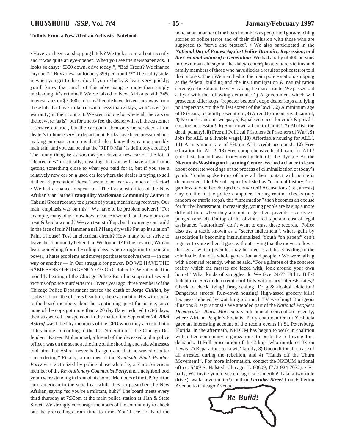#### **Tidbits From a New Afrikan Activists' Notebook**

• Have you been car shopping lately? We took a comrad out recently and it was quite an eye-opener! When you see the newspaper ads, it looks so easy: "\$300 down, drive today!", "Bad Credit? We finance anyone!", "Buy a new car for only \$99 per month!**\***" The reality sinks in when you get to the carlot. If you're lucky & learn very quickly, you'll know that much of this advertising is more than simply misleading, it's criminal! We've talked to New Afrikans with 34% interest rates on \$7,000 car loans! People have driven cars away from

nonchalant manner of the board members as people tell gutwrenching stories of police terror and of their disillusion with those who are supposed to "serve and protect". • We also participated in the *National Day of Protest Against Police Brutality, Repression, and the Criminalization of a Generation*. We had a rally of 400 persons in downtown chicago at the daley center/plaza, where victims and family members of those who have died as a result of police terror told their stories. Then We marched to the main police station, stopping at the federal building and the ins (immigration & naturalization service) office along the way. Along the march route, We passed out a flyer with the following demands: **1)** A government which will prosecute killer kops, 'repeater beaters', dope dealer kops and lying policepersons "to the fullest extent of the law!", **2)** A minimum age of 18 (years) for adult prosecution!, **3)** An end to prison privatization!, **4)** No more random sweeps!, **5)** Equal sentences for crack & powder cocaine possession!, **6)** Shut down all control units!, **7)** Abolish the death penalty!, **8)** Free all Political Prisoners & Prisoners of War!, **9)** Jobs for ALL at a livable wage!, **10)** Affordable housing for ALL!, **11)** A maximum rate of 5% on ALL credit accounts!, **12)** Free education for ALL!, **13)** Free comprehensive health care for ALL! (this last demand was inadvertently left off the flyer) • At the **Nkrumah-Washington Learning Center**, We had a chance to learn about concrete workings of the process of criminalization of today's youth. Youths spoke to us of how all their contact with police is documented, filed & subsequently listed as "criminal history," regardless of whether charged or convicted! Accusations (i.e., arrests) stay on file in the police computer. During routine checks (any random or traffic stops), this "information" then becomes an excuse for further harassment. Increasingly, young people are having a more difficult time when they attempt to get their juvenile records expunged (erased). On top of the obvious red tape and cost of legal assistance, "authorities" don't want to erase these records. Police also use a tactic known as a "secret indictment", where guilt by association is becoming institutionalized. Youth "on papers" can't register to vote either. It goes without saying that the moves to lower the age at which juveniles may be tried as adults is leading to the criminalization of a whole generation and people. • We were talkng with a comrad recently, when he said, "For a glimpse of the concrete reality which the masses are faced with, look around your own home!" What kinds of struggles do We face 24-7? Utility Bills! Indentured Servitude (credit card bills with usury interests rates)! Check to check living! Drug dealing! Drug & alcohol addiction! Dangerous streets! Run-down housing! High-assed grocery bills! Laziness induced by watching too much TV watching! Bourgeois illusions & aspirations! • We attended part of the *National People's Democratic Uhuru Movement's* 5th annual convention recently, where African People's Socialist Party chairman Omali Yeshitela gave an interesting account of the recent events in St. Petersburg, Florida. In the aftermath, NPDUM has begun to work in coalition with other community organizations to push the following four demands: **1)** Full prosecution of the 2 kops who murdered Tyron Lewis, **2)** Reparations to Lewis' family, **3)** Unconditional release of all arrested during the rebellion, and **4)** "Hands off the Uhuru Movement!". For more information, contact the NPDUM national office: 5409 S. Halsted, Chicago IL 60609; (773-924-7072). • Finally, We invite you to see chicago; see amerika! Take a two-mile drive (a walk is even better!) south on *Larrabee Street*, from Fullerton Avenue to Chicago Avenue.



these lots that have broken down in lesss than 2 days, with "as is" (no warranty) in their contract. We went to one lot where all the cars on the lot were "as is", but for a hefty fee, the dealer will sell the customer a service contract, but the car could then only be serviced at the dealer's in-house service department. Folks have been pressured into making purchases on terms that dealers know they cannot possibly maintain, and you can bet that the 'REPO Man' is definitely a reality! The funny thing is: as soon as you drive a new car off the lot, it "depreciates" drastically, meaning that you will have a hard time getting something close to what you paid for it, but if you see a relatively new car on a used car lot where the dealer is trying to sell it, then "depreciation" doesn't seem to be nearly as much of a factor! • We had a chance to speak on "The Responsibilities of the New Afrikan Man" at the **Tranquility Marksman Community Center** in Cabrini Green recently to a group of young men in drug recovery. Our main emphasis was on this: "We have to be problem solvers!" For example, many of us know how to cause a wound, but how many can treat & *heal* a wound? We can tear stuff up, but how many can build in the face of ruin? Hammer a nail? Hang drywall? Put up insulation? Paint a house? Test an electrical circuit? How many of us strive to leave the community better than We found it? In this respect, We can learn something from the ruling class: when struggling to maintain power, it hates problems and moves posthaste to solve them — in one way or another — In Our struggle for power, DO WE HAVE THE SAME SENSE OF URGENCY??? • On October 17, We attended the monthly hearing of the Chicago Police Board in support of several victims of police murder/terror. Over a year ago, three members of the Chicago Police Department caused the death of *Jorge Guillen*, by asphyxiation - the officers beat him, then sat on him. His wife spoke to the board members about her continuing quest for justice, since none of the cops got more than a 20 day (later reduced to 3-5 days, then suspended!) suspension in the matter. On September 24, *Bilal Ashraf* was killed by members of the CPD when they accosted him at his home. According to the 10/1/96 edition of the Chicago Defender, "Kareen Muhammad, a friend of the deceased and a police officer, was on the scene at the time of the shooting and said witnesses told him that Ashraf never had a gun and that he was shot after surrendering." Finally, a member of the *Southside Black Panther Party* was victimized by police abuse when he, a Euro-American member of the *Revolutionary Communist Party*, and a neighborhood youth were standing in front of his home. Members of the CPD put the euro-american in the squad car while they stripsearched the New Afrikan, saying "so you're a militant, huh?" The board meets every third thursday at 7:30pm at the main police station at 11th & State Street; We strongly encourage members of the community to check out the proceedings from time to time. You'll see firsthand the